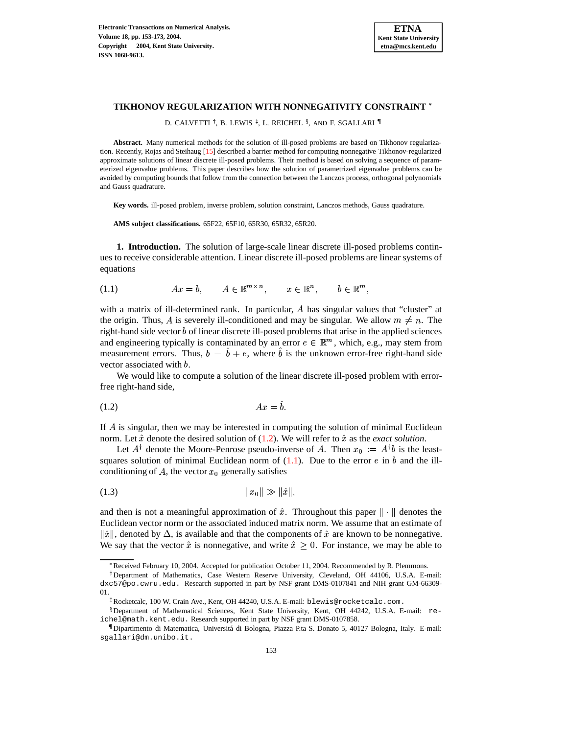

## **TIKHONOV REGULARIZATION WITH NONNEGATIVITY CONSTRAINT**

D. CALVETTI †, B. LEWIS <sup>‡</sup>, L. REICHEL <sup>§</sup>, and F. SGALLARI ¶

**Abstract.** Many numerical methods for the solution of ill-posed problems are based on Tikhonov regularization. Recently, Rojas and Steihaug [\[15\]](#page-20-0) described a barrier method for computing nonnegative Tikhonov-regularized approximate solutions of linear discrete ill-posed problems. Their method is based on solving a sequence of parameterized eigenvalue problems. This paper describes how the solution of parametrized eigenvalue problems can be avoided by computing bounds that follow from the connection between the Lanczos process, orthogonal polynomials and Gauss quadrature.

**Key words.** ill-posed problem, inverse problem, solution constraint, Lanczos methods, Gauss quadrature.

**AMS subject classifications.** 65F22, 65F10, 65R30, 65R32, 65R20.

**1. Introduction.** The solution of large-scale linear discrete ill-posed problems continues to receive considerable attention. Linear discrete ill-posed problems are linear systems of equations

<span id="page-0-1"></span>(1.1)  $Ax = b$ ,  $A \in \mathbb{R}^{m \times n}$ ,  $x \in \mathbb{R}^n$ ,  $b \in \mathbb{R}^m$ ,

with a matrix of ill-determined rank. In particular,  $A$  has singular values that "cluster" at the origin. Thus, A is severely ill-conditioned and may be singular. We allow  $m \neq n$ . The right-hand side vector *b* of linear discrete ill-posed problems that arise in the applied sciences and engineering typically is contaminated by an error  $e \in \mathbb{R}^m$ , which, e.g., may stem from measurement errors. Thus,  $b = b + e$ , where b is the unknown error-free right-hand side vector associated with  $b$ .

We would like to compute a solution of the linear discrete ill-posed problem with errorfree right-hand side,

<span id="page-0-0"></span>
$$
(1.2) \t\t Ax = b.
$$

If  $A$  is singular, then we may be interested in computing the solution of minimal Euclidean norm. Let  $\hat{x}$  denote the desired solution of  $(1.2)$ . We will refer to  $\hat{x}$  as the *exact solution*.

Let  $A^{\dagger}$  denote the Moore-Penrose pseudo-inverse of A. Then  $x_0 := A^{\dagger}b$  is the leastsquares solution of minimal Euclidean norm of  $(1.1)$ . Due to the error e in b and the illconditioning of A, the vector  $x_0$  generally satisfies

<span id="page-0-2"></span>
$$
(1.3) \t\t\t ||x_0|| \gg ||\hat{x}||,
$$

and then is not a meaningful approximation of  $\hat{x}$ . Throughout this paper  $\|\cdot\|$  denotes the Euclidean vector norm or the associated induced matrix norm. We assume that an estimate of  $\|\hat{x}\|$ , denoted by  $\Delta$ , is available and that the components of  $\hat{x}$  are known to be nonnegative. We say that the vector  $\hat{x}$  is nonnegative, and write  $\hat{x} \geq 0$ . For instance, we may be able to

<sup>&</sup>gt; Received February 10, 2004. Accepted for publication October 11, 2004. Recommended by R. Plemmons.

<sup>&</sup>lt;sup>†</sup>Department of Mathematics, Case Western Reserve University, Cleveland, OH 44106, U.S.A. E-mail: dxc57@po.cwru.edu. Research supported in part by NSF grant DMS-0107841 and NIH grant GM-66309- 01.

<sup>-</sup> Rocketcalc, 100 W. Crain Ave., Kent, OH 44240, U.S.A. E-mail: blewis@rocketcalc.com.

Department of Mathematical Sciences, Kent State University, Kent, OH 44242, U.S.A. E-mail: reichel@math.kent.edu. Research supported in part by NSF grant DMS-0107858.

Dipartimento di Matematica, Universita´ di Bologna, Piazza P.ta S. Donato 5, 40127 Bologna, Italy. E-mail: sgallari@dm.unibo.it.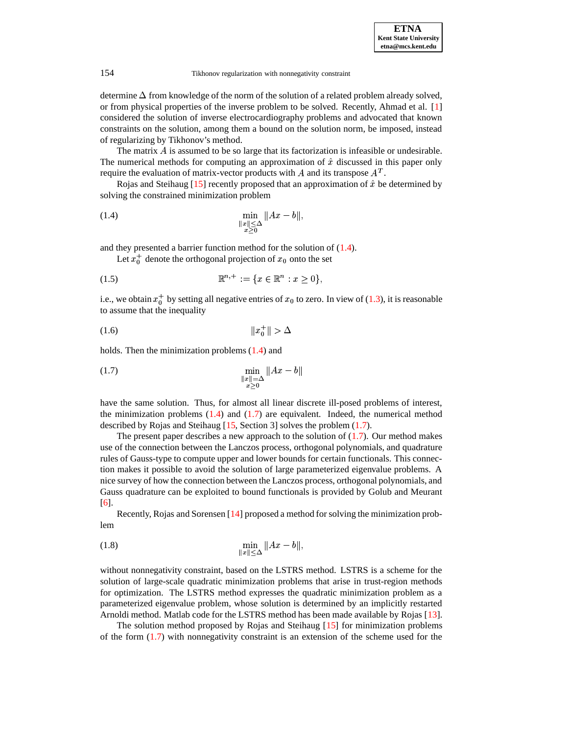determine  $\Delta$  from knowledge of the norm of the solution of a related problem already solved, or from physical properties of the inverse problem to be solved. Recently, Ahmad et al. [\[1\]](#page-19-0) considered the solution of inverse electrocardiography problems and advocated that known constraints on the solution, among them a bound on the solution norm, be imposed, instead of regularizing by Tikhonov's method.

The matrix  $\vec{A}$  is assumed to be so large that its factorization is infeasible or undesirable. The numerical methods for computing an approximation of  $\hat{x}$  discussed in this paper only require the evaluation of matrix-vector products with A and its transpose  $A<sup>T</sup>$ .

Rojas and Steihaug  $[15]$  recently proposed that an approximation of  $\hat{x}$  be determined by solving the constrained minimization problem

<span id="page-1-0"></span>(1.4) 
$$
\min_{\substack{\|x\| \leq \Delta \\ x>0}} \|Ax - b\|,
$$

and they presented a barrier function method for the solution of [\(1.4\)](#page-1-0).

<span id="page-1-4"></span>Let  $x_0^+$  denote the orthogonal projection of  $x_0$  onto the set

$$
(1.5) \t\t \mathbb{R}^{n,+} := \{x \in \mathbb{R}^n : x \ge 0\},\
$$

i.e., we obtain  $x_0^+$  by setting all negative entries of  $x_0$  to zero. In view of [\(1.3\)](#page-0-2), it is reasonable to assume that the inequality

<span id="page-1-3"></span>
$$
(1.6)\t\t\t\t\t||x_0^+|| > \Delta
$$

<span id="page-1-1"></span>holds. Then the minimization problems [\(1.4\)](#page-1-0) and

(1.7) 
$$
\min_{\substack{\|x\|=\Delta \\ x>0}} \|Ax - b\|
$$

have the same solution. Thus, for almost all linear discrete ill-posed problems of interest, the minimization problems  $(1.4)$  and  $(1.7)$  are equivalent. Indeed, the numerical method described by Rojas and Steihaug [\[15,](#page-20-0) Section 3] solves the problem [\(1.7\)](#page-1-1).

The present paper describes a new approach to the solution of  $(1.7)$ . Our method makes use of the connection between the Lanczos process, orthogonal polynomials, and quadrature rules of Gauss-type to compute upper and lower bounds for certain functionals. This connection makes it possible to avoid the solution of large parameterized eigenvalue problems. A nice survey of how the connection between the Lanczos process, orthogonal polynomials, and Gauss quadrature can be exploited to bound functionals is provided by Golub and Meurant [\[6\]](#page-19-1).

Recently, Rojas and Sorensen [\[14\]](#page-20-1) proposed a method for solving the minimization problem

<span id="page-1-2"></span>(1.8) 
$$
\min_{\|x\| \leq \Delta} \|Ax - b\|,
$$

without nonnegativity constraint, based on the LSTRS method. LSTRS is a scheme for the solution of large-scale quadratic minimization problems that arise in trust-region methods for optimization. The LSTRS method expresses the quadratic minimization problem as a parameterized eigenvalue problem, whose solution is determined by an implicitly restarted Arnoldi method. Matlab code for the LSTRS method has been made available by Rojas [\[13\]](#page-20-2).

The solution method proposed by Rojas and Steihaug [\[15\]](#page-20-0) for minimization problems of the form [\(1.7\)](#page-1-1) with nonnegativity constraint is an extension of the scheme used for the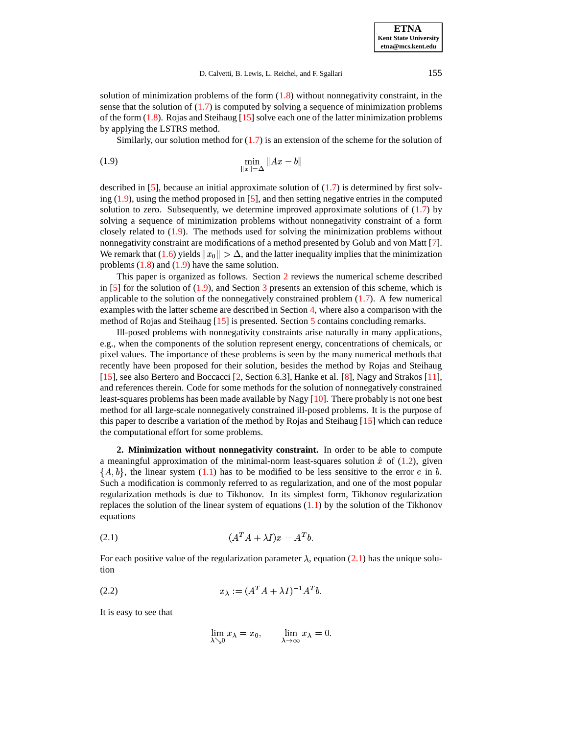solution of minimization problems of the form  $(1.8)$  without nonnegativity constraint, in the sense that the solution of  $(1.7)$  is computed by solving a sequence of minimization problems of the form  $(1.8)$ . Rojas and Steihaug [\[15\]](#page-20-0) solve each one of the latter minimization problems by applying the LSTRS method.

<span id="page-2-0"></span>Similarly, our solution method for  $(1.7)$  is an extension of the scheme for the solution of

(1.9) 
$$
\min_{\|x\|=\Delta} \|Ax - b\|
$$

described in [\[5\]](#page-19-2), because an initial approximate solution of [\(1.7\)](#page-1-1) is determined by first solving  $(1.9)$ , using the method proposed in [\[5\]](#page-19-2), and then setting negative entries in the computed solution to zero. Subsequently, we determine improved approximate solutions of [\(1.7\)](#page-1-1) by solving a sequence of minimization problems without nonnegativity constraint of a form closely related to [\(1.9\)](#page-2-0). The methods used for solving the minimization problems without nonnegativity constraint are modifications of a method presented by Golub and von Matt [\[7\]](#page-19-3). We remark that [\(1.6\)](#page-1-3) yields  $||x_0|| > \Delta$ , and the latter inequality implies that the minimization problems  $(1.8)$  and  $(1.9)$  have the same solution.

This paper is organized as follows. Section [2](#page-2-1) reviews the numerical scheme described in  $[5]$  for the solution of  $(1.9)$ , and Section [3](#page-5-0) presents an extension of this scheme, which is applicable to the solution of the nonnegatively constrained problem  $(1.7)$ . A few numerical examples with the latter scheme are described in Section [4,](#page-10-0) where also a comparison with the method of Rojas and Steihaug [\[15\]](#page-20-0) is presented. Section [5](#page-19-4) contains concluding remarks.

Ill-posed problems with nonnegativity constraints arise naturally in many applications, e.g., when the components of the solution represent energy, concentrations of chemicals, or pixel values. The importance of these problems is seen by the many numerical methods that recently have been proposed for their solution, besides the method by Rojas and Steihaug [\[15\]](#page-20-0), see also Bertero and Boccacci [\[2,](#page-19-5) Section 6.3], Hanke et al. [\[8\]](#page-19-6), Nagy and Strakos [\[11\]](#page-20-3), and references therein. Code for some methods for the solution of nonnegatively constrained least-squares problems has been made available by Nagy [\[10\]](#page-20-4). There probably is not one best method for all large-scale nonnegatively constrained ill-posed problems. It is the purpose of this paper to describe a variation of the method by Rojas and Steihaug  $[15]$  which can reduce the computational effort for some problems.

<span id="page-2-1"></span>**2. Minimization without nonnegativity constraint.** In order to be able to compute a meaningful approximation of the minimal-norm least-squares solution  $\hat{x}$  of [\(1.2\)](#page-0-0), given  $\{A, b\}$ , the linear system [\(1.1\)](#page-0-1) has to be modified to be less sensitive to the error e in b. Such a modification is commonly referred to as regularization, and one of the most popular regularization methods is due to Tikhonov. In its simplest form, Tikhonov regularization replaces the solution of the linear system of equations  $(1.1)$  by the solution of the Tikhonov equations

<span id="page-2-2"></span>
$$
(A^T A + \lambda I)x = A^T b.
$$

For each positive value of the regularization parameter  $\lambda$ , equation [\(2.1\)](#page-2-2) has the unique solution

<span id="page-2-3"></span>
$$
(2.2) \t\t x_{\lambda} := (A^T A + \lambda I)^{-1} A^T b.
$$

It is easy to see that

$$
\lim_{\lambda\searrow 0}x_{\lambda}=x_0,\qquad \lim_{\lambda\to \infty}x_{\lambda}=0.
$$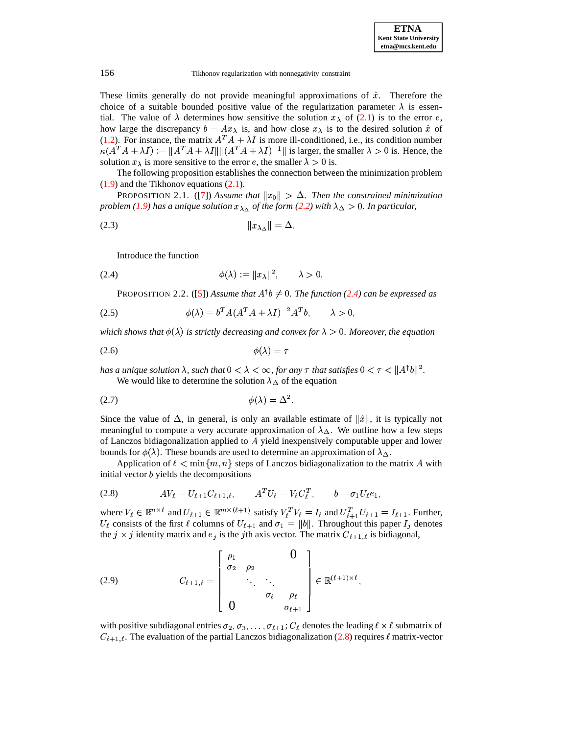These limits generally do not provide meaningful approximations of  $\hat{x}$ . Therefore the choice of a suitable bounded positive value of the regularization parameter  $\lambda$  is essential. The value of  $\lambda$  determines how sensitive the solution  $x_{\lambda}$  of [\(2.1\)](#page-2-2) is to the error e, how large the discrepancy  $b - Ax_\lambda$  is, and how close  $x_\lambda$  is to the desired solution  $\hat{x}$  of [\(1.2\)](#page-0-0). For instance, the matrix  $A^T A + \lambda I$  is more ill-conditioned, i.e., its condition number  $\kappa(A^T A + \lambda I) := \|A^T A + \lambda I\| \| (A^T A + \lambda I)^{-1} \|$  is larger, the smaller  $\lambda > 0$  is. Hence, the solution  $x_{\lambda}$  is more sensitive to the error e, the smaller  $\lambda > 0$  is.

The following proposition establishes the connection between the minimization problem [\(1.9\)](#page-2-0) and the Tikhonov equations [\(2.1\)](#page-2-2).

**PROPOSITION 2.1.** ([\[7\]](#page-19-3)) Assume that  $||x_0|| > \Delta$ . Then the constrained minimization *problem* [\(1.9\)](#page-2-0) has a unique solution  $x_{\lambda_{\Delta}}$  of the form [\(2.2\)](#page-2-3) with  $\lambda_{\Delta} > 0$ . In particular,

<sup>5</sup> -<sup>5</sup> (2.3)

<span id="page-3-0"></span>Introduce the function

<span id="page-3-4"></span>
$$
\phi(\lambda) := \|x_{\lambda}\|^2, \qquad \lambda > 0
$$

PROPOSITION 2.2. ([\[5\]](#page-19-2)) Assume that  $A^{\dagger}b \neq 0$ . The function [\(2.4\)](#page-3-0) can be expressed as

$$
\phi(\lambda) = b^T A (A^T A + \lambda I)^{-2} A^T b, \qquad \lambda > 0,
$$

*which shows that*  $\phi(\lambda)$  *is strictly decreasing and convex for*  $\lambda > 0$ *. Moreover, the equation* 

$$
\phi(\lambda) = \tau
$$

has a unique solution  $\lambda$ , such that  $0 < \lambda < \infty$ , for any  $\tau$  that satisfies  $0 < \tau < \|A^\dagger b\|^2$ . We would like to determine the solution  $\lambda_{\Delta}$  of the equation

<span id="page-3-3"></span>
$$
\phi(\lambda) = \Delta^2.
$$

Since the value of  $\Delta$ , in general, is only an available estimate of  $\|\hat{x}\|$ , it is typically not meaningful to compute a very accurate approximation of  $\lambda_{\Delta}$ . We outline how a few steps of Lanczos bidiagonalization applied to  $A$  yield inexpensively computable upper and lower bounds for  $\phi(\lambda)$ . These bounds are used to determine an approximation of  $\lambda_{\Delta}$ .

Application of  $\ell < \min\{m, n\}$  steps of Lanczos bidiagonalization to the matrix A with initial vector  $b$  yields the decompositions

<span id="page-3-1"></span>(2.8) 
$$
AV_{\ell} = U_{\ell+1}C_{\ell+1,\ell}, \qquad A^{T}U_{\ell} = V_{\ell}C_{\ell}^{T}, \qquad b = \sigma_{1}U_{\ell}e_{1},
$$

where  $V_{\ell} \in \mathbb{R}^{n \times \ell}$  and  $U_{\ell+1} \in \mathbb{R}^{m \times (\ell+1)}$  satisfy  $V_{\ell}^T V_{\ell} = I_{\ell}$  and  $U_{\ell+1}^T U_{\ell+1} = I_{\ell+1}$ . Further,  $U_{\ell}$  consists of the first  $\ell$  columns of  $U_{\ell+1}$  and  $\sigma_1 = ||b||$ . Throughout this paper  $I_j$  denotes the  $j \times j$  identity matrix and  $e_j$  is the jth axis vector. The matrix  $C_{\ell+1,\ell}$  is bidiagonal,

<span id="page-3-2"></span>(2.9) 
$$
C_{\ell+1,\ell} = \begin{bmatrix} \rho_1 & 0 \\ \sigma_2 & \rho_2 & \ddots & \ddots \\ \vdots & \ddots & \ddots & \vdots \\ 0 & \sigma_\ell & \rho_\ell & \vdots \end{bmatrix} \in \mathbb{R}^{(\ell+1)\times \ell},
$$

with positive subdiagonal entries  $\sigma_2, \sigma_3, \ldots, \sigma_{\ell+1}$ ;  $C_{\ell}$  denotes the leading  $\ell \times \ell$  submatrix of  $C_{\ell+1,\ell}$ . The evaluation of the partial Lanczos bidiagonalization [\(2.8\)](#page-3-1) requires  $\ell$  matrix-vector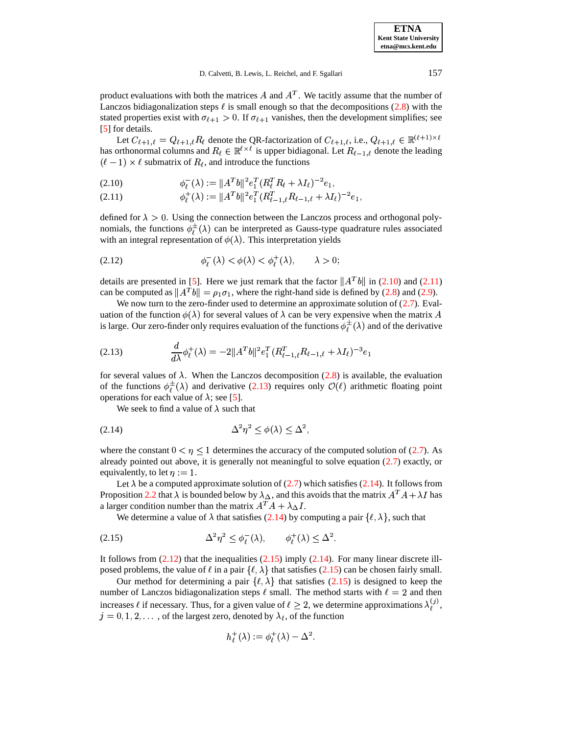**ETNA Kent State University etna@mcs.kent.edu**

product evaluations with both the matrices A and  $A<sup>T</sup>$ . We tacitly assume that the number of Lanczos bidiagonalization steps  $\ell$  is small enough so that the decompositions [\(2.8\)](#page-3-1) with the stated properties exist with  $\sigma_{\ell+1} > 0$ . If  $\sigma_{\ell+1}$  vanishes, then the development simplifies; see [\[5\]](#page-19-2) for details.

Let  $C_{\ell+1,\ell} = Q_{\ell+1,\ell} R_{\ell}$  denote the QR-factorization of  $C_{\ell+1,\ell}$ , i.e.,  $Q_{\ell+1,\ell} \in \mathbb{R}^{(\ell+1)\times \ell}$ has orthonormal columns and  $R_\ell \in \mathbb{R}^{\ell \times \ell}$  is upper bidiagonal. Let  $R_{\ell-1,\ell}$  denote the leading  $(\ell - 1) \times \ell$  submatrix of  $R_{\ell}$ , and introduce the functions

<span id="page-4-0"></span>
$$
(2.10) \t\t \t\t \t\t \t\t \t\t \t\phi_{\ell}^{-}(\lambda) := \|A^T b\|^2 e_1^T (R_{\ell}^T R_{\ell} + \lambda I_{\ell})^{-2} e_1,
$$

 $\phi_{\ell}^{+}(\lambda) := \|A^{T}b\|^{2} e_{1}^{T} (R_{\ell-1-\ell}^{T}R_{\ell-1-\ell} + \lambda I_{\ell})^{-2} e_{1},$ (2.11)

defined for  $\lambda > 0$ . Using the connection between the Lanczos process and orthogonal polynomials, the functions  $\phi_{\ell}^{\pm}(\lambda)$  can be interpreted as Gauss-type quadrature rules associated with an integral representation of  $\phi(\lambda)$ . This interpretation yields

<span id="page-4-3"></span>
$$
\phi_{\ell}^{-}(\lambda) < \phi(\lambda) < \phi_{\ell}^{+}(\lambda), \qquad \lambda > 0;
$$

details are presented in [\[5\]](#page-19-2). Here we just remark that the factor  $||A^Tb||$  in [\(2.10\)](#page-4-0) and [\(2.11\)](#page-4-0) can be computed as  $||A^T b|| = \rho_1 \sigma_1$ , where the right-hand side is defined by [\(2.8\)](#page-3-1) and [\(2.9\)](#page-3-2).

We now turn to the zero-finder used to determine an approximate solution of  $(2.7)$ . Evaluation of the function  $\phi(\lambda)$  for several values of  $\lambda$  can be very expensive when the matrix A is large. Our zero-finder only requires evaluation of the functions  $\phi^{\pm}(\lambda)$  and of the derivative

<span id="page-4-1"></span>(2.13) 
$$
\frac{d}{d\lambda}\phi_{\ell}^{+}(\lambda) = -2\|A^{T}b\|^{2}e_{1}^{T}(R_{\ell-1,\ell}^{T}R_{\ell-1,\ell} + \lambda I_{\ell})^{-3}e_{1}
$$

for several values of  $\lambda$ . When the Lanczos decomposition [\(2.8\)](#page-3-1) is available, the evaluation of the functions  $\phi^{\pm}_{\ell}(\lambda)$  and derivative [\(2.13\)](#page-4-1) requires only  $\mathcal{O}(\ell)$  arithmetic floating point operations for each value of  $\lambda$ ; see [\[5\]](#page-19-2).

<span id="page-4-2"></span>We seek to find a value of  $\lambda$  such that

$$
\Delta^2 \eta^2 \le \phi(\lambda) \le \Delta^2,
$$

where the constant  $0 < \eta \leq 1$  determines the accuracy of the computed solution of [\(2.7\)](#page-3-3). As already pointed out above, it is generally not meaningful to solve equation [\(2.7\)](#page-3-3) exactly, or equivalently, to let  $\eta := 1$ .

Let  $\lambda$  be a computed approximate solution of [\(2.7\)](#page-3-3) which satisfies [\(2.14\)](#page-4-2). It follows from Proposition [2.2](#page-3-4) that  $\lambda$  is bounded below by  $\lambda_{\Delta}$ , and this avoids that the matrix  $A^T A + \lambda I$  has a larger condition number than the matrix  $A^T A + \lambda_{\Delta} I$ .

<span id="page-4-4"></span>We determine a value of  $\lambda$  that satisfies [\(2.14\)](#page-4-2) by computing a pair  $\{\ell, \lambda\}$ , such that

$$
\Delta^2 \eta^2 \le \phi_\ell^-(\lambda), \qquad \phi_\ell^+(\lambda) \le \Delta^2.
$$

It follows from  $(2.12)$  that the inequalities  $(2.15)$  imply  $(2.14)$ . For many linear discrete illposed problems, the value of  $\ell$  in a pair  $\{\ell, \lambda\}$  that satisfies [\(2.15\)](#page-4-4) can be chosen fairly small.

Our method for determining a pair  $\{\ell, \lambda\}$  that satisfies [\(2.15\)](#page-4-4) is designed to keep the number of Lanczos bidiagonalization steps  $\ell$  small. The method starts with  $\ell = 2$  and then increases  $\ell$  if necessary. Thus, for a given value of  $\ell \geq 2$ , we determine approximations  $\lambda_{\ell}^{(3)}$ ,  $\frac{1}{\binom{n}{2}}$  $j = 0, 1, 2, \dots$ , of the largest zero, denoted by  $\lambda_{\ell}$ , of the function

$$
h^+_\ell(\lambda):=\phi^+_\ell(\lambda)-\Delta^2.
$$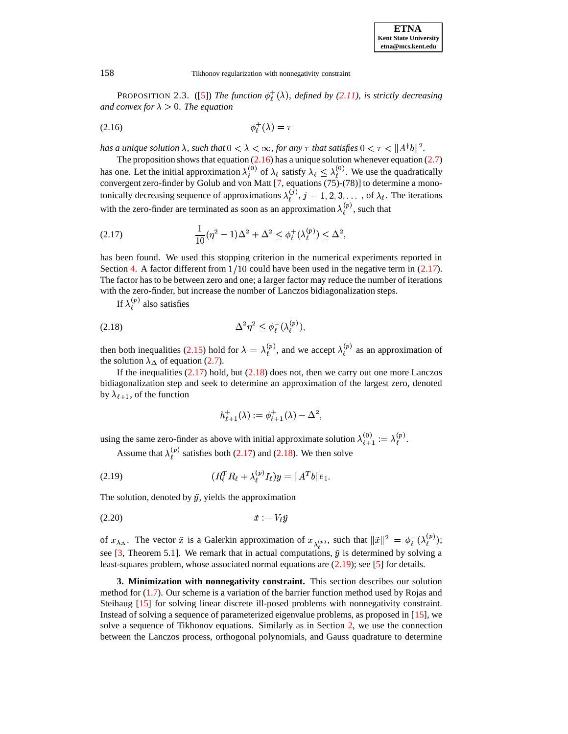**PROPOSITION** 2.3. ([\[5\]](#page-19-2)) *The function*  $\phi_r^+(\lambda)$ *, defined by [\(2.11\)](#page-4-0), is strictly decreasing and convex for*  $\lambda > 0$ *. The equation* 

<span id="page-5-1"></span>
$$
\phi_{\ell}^{+}(\lambda) = \tau
$$

has a unique solution  $\lambda$ , such that  $0 < \lambda < \infty$ , for any  $\tau$  that satisfies  $0 < \tau < \|A^\dagger b\|^2$ .

The proposition shows that equation  $(2.16)$  has a unique solution whenever equation  $(2.7)$ has one. Let the initial approximation  $\lambda_i^{(0)}$  of  $\lambda_\ell$  satisfy  $\lambda_\ell \leq \lambda_i^{(0)}$ . We use the quadratically convergent zero-finder by Golub and von Matt  $[7,$  equations  $(75)-(78)$ ] to determine a monotonically decreasing sequence of approximations  $\lambda_j^{(j)}$ ,  $j = 1, 2, 3, \dots$ , of  $\lambda_{\ell}$ . The iterations with the zero-finder are terminated as soon as an approximation  $\lambda_{\ell}^{(p)}$ , such that

<span id="page-5-2"></span>(2.17) 
$$
\frac{1}{10}(\eta^2 - 1)\Delta^2 + \Delta^2 \le \phi_\ell^+(\lambda_\ell^{(p)}) \le \Delta^2,
$$

has been found. We used this stopping criterion in the numerical experiments reported in Section [4.](#page-10-0) A factor different from  $1/10$  could have been used in the negative term in [\(2.17\)](#page-5-2). The factor has to be between zero and one; a larger factor may reduce the number of iterations with the zero-finder, but increase the number of Lanczos bidiagonalization steps.

<span id="page-5-3"></span>If  $\lambda_{\ell}^{(p)}$  also satisfies

$$
\Delta^2 \eta^2 \le \phi_\ell^-(\lambda_\ell^{(p)}),
$$

then both inequalities [\(2.15\)](#page-4-4) hold for  $\lambda = \lambda_i^{(p)}$ , and we accept  $\lambda_i^{(p)}$  as an approximation of the solution  $\lambda_{\Delta}$  of equation [\(2.7\)](#page-3-3).

If the inequalities  $(2.17)$  hold, but  $(2.18)$  does not, then we carry out one more Lanczos bidiagonalization step and seek to determine an approximation of the largest zero, denoted by  $\lambda_{\ell+1}$ , of the function

$$
h^+_{\ell+1}(\lambda):=\phi^+_{\ell+1}(\lambda)-\Delta^2,
$$

using the same zero-finder as above with initial approximate solution  $\lambda_{\ell+1}^{(0)} := \lambda_{\ell}^{(p)}$ .

<span id="page-5-4"></span>Assume that  $\lambda_{\ell}^{(p)}$  satisfies both [\(2.17\)](#page-5-2) and [\(2.18\)](#page-5-3). We then solve

(2.19) 
$$
(R_{\ell}^{T} R_{\ell} + \lambda_{\ell}^{(p)} I_{\ell}) y = \|A^{T} b\| e_1.
$$

<span id="page-5-5"></span>The solution, denoted by  $\tilde{y}$ , yields the approximation

$$
(2.20) \t\t \tilde{x} := V_{\ell} \tilde{y}
$$

of  $x_{\lambda_{\Delta}}$ . The vector  $\tilde{x}$  is a Galerkin approximation of  $x_{\lambda^{(p)}}$ , such that  $\|\tilde{x}\|^2 = \phi_{\ell}^{-}(\lambda_{\ell}^{(p)})$ ; see [\[3,](#page-19-7) Theorem 5.1]. We remark that in actual computations,  $\tilde{y}$  is determined by solving a least-squares problem, whose associated normal equations are [\(2.19\)](#page-5-4); see [\[5\]](#page-19-2) for details.

<span id="page-5-0"></span>**3. Minimization with nonnegativity constraint.** This section describes our solution method for  $(1.7)$ . Our scheme is a variation of the barrier function method used by Rojas and Steihaug [\[15\]](#page-20-0) for solving linear discrete ill-posed problems with nonnegativity constraint. Instead of solving a sequence of parameterized eigenvalue problems, as proposed in [\[15\]](#page-20-0), we solve a sequence of Tikhonov equations. Similarly as in Section [2,](#page-2-1) we use the connection between the Lanczos process, orthogonal polynomials, and Gauss quadrature to determine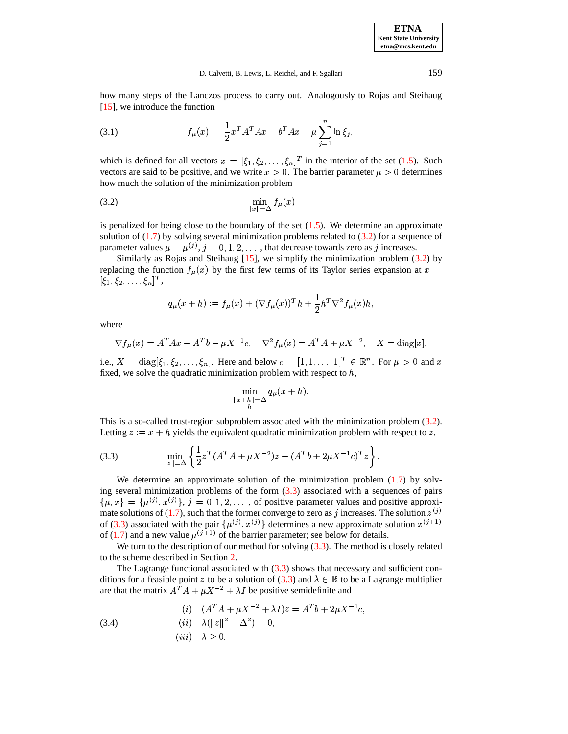**ETNA Kent State University etna@mcs.kent.edu**

how many steps of the Lanczos process to carry out. Analogously to Rojas and Steihaug [\[15\]](#page-20-0), we introduce the function

<span id="page-6-3"></span>(3.1) 
$$
f_{\mu}(x) := \frac{1}{2} x^{T} A^{T} A x - b^{T} A x - \mu \sum_{j=1}^{n} \ln \xi_{j},
$$

which is defined for all vectors  $x = [\xi_1, \xi_2, \dots, \xi_n]^T$  in the interior of the set [\(1.5\)](#page-1-4). Such vectors are said to be positive, and we write  $x > 0$ . The barrier parameter  $\mu > 0$  determines how much the solution of the minimization problem

<span id="page-6-0"></span>
$$
\min_{\|x\|=\Delta} f_{\mu}(x)
$$

is penalized for being close to the boundary of the set  $(1.5)$ . We determine an approximate solution of  $(1.7)$  by solving several minimization problems related to  $(3.2)$  for a sequence of parameter values  $\mu = \mu^{(j)}$ ,  $j = 0, 1, 2, \dots$ , that decrease towards zero as j increases.

Similarly as Rojas and Steihaug  $[15]$ , we simplify the minimization problem  $(3.2)$  by replacing the function  $f_\mu(x)$  by the first few terms of its Taylor series expansion at  $x =$  $[\xi_1, \xi_2, \ldots, \xi_n]^T,$ 

$$
q_{\mu}(x+h) := f_{\mu}(x) + (\nabla f_{\mu}(x))^{T} h + \frac{1}{2} h^{T} \nabla^{2} f_{\mu}(x) h,
$$

where

$$
\nabla f_{\mu}(x) = A^{T} A x - A^{T} b - \mu X^{-1} c, \quad \nabla^{2} f_{\mu}(x) = A^{T} A + \mu X^{-2}, \quad X = \text{diag}[x],
$$

i.e.,  $X = \text{diag}[\xi_1, \xi_2, \dots, \xi_n]$ . Here and below  $c = [1, 1, \dots, 1]^T \in \mathbb{R}^n$ . For  $\mu > 0$  and x fixed, we solve the quadratic minimization problem with respect to  $h$ ,

$$
\min_{\|x+h\|= \Delta} q_{\mu}(x+h).
$$

This is a so-called trust-region subproblem associated with the minimization problem [\(3.2\)](#page-6-0). Letting  $z := x + h$  yields the equivalent quadratic minimization problem with respect to z,

<span id="page-6-1"></span>(3.3) 
$$
\min_{\|z\|=\Delta} \left\{ \frac{1}{2} z^T (A^T A + \mu X^{-2}) z - (A^T b + 2\mu X^{-1} c)^T z \right\}.
$$

We determine an approximate solution of the minimization problem  $(1.7)$  by solving several minimization problems of the form  $(3.3)$  associated with a sequences of pairs  $\{\mu, x\} = {\mu^{(j)}, x^{(j)}}\}, j = 0, 1, 2, \dots$ , of positive parameter values and positive approxi-mate solutions of [\(1.7\)](#page-1-1), such that the former converge to zero as j increases. The solution  $z^{(j)}$  $\blacksquare$ of [\(3.3\)](#page-6-1) associated with the pair  $\{\mu^{(j)}, x^{(j)}\}$  determines a new approximate solution  $x^{(j+1)}$ of [\(1.7\)](#page-1-1) and a new value  $\mu^{(j+1)}$  of the barrier parameter; see below for details.

We turn to the description of our method for solving  $(3.3)$ . The method is closely related to the scheme described in Section [2.](#page-2-1)

The Lagrange functional associated with [\(3.3\)](#page-6-1) shows that necessary and sufficient con-ditions for a feasible point z to be a solution of [\(3.3\)](#page-6-1) and  $\lambda \in \mathbb{R}$  to be a Lagrange multiplier are that the matrix  $A^T A + \mu X^{-2} + \lambda I$  be positive semidefinite and

<span id="page-6-2"></span>(3.4)   
\n(i) 
$$
(A^T A + \mu X^{-2} + \lambda I)z = A^T b + 2\mu X^{-1} c,
$$
  
\n(ii)  $\lambda (\|z\|^2 - \Delta^2) = 0,$   
\n(iii)  $\lambda \ge 0.$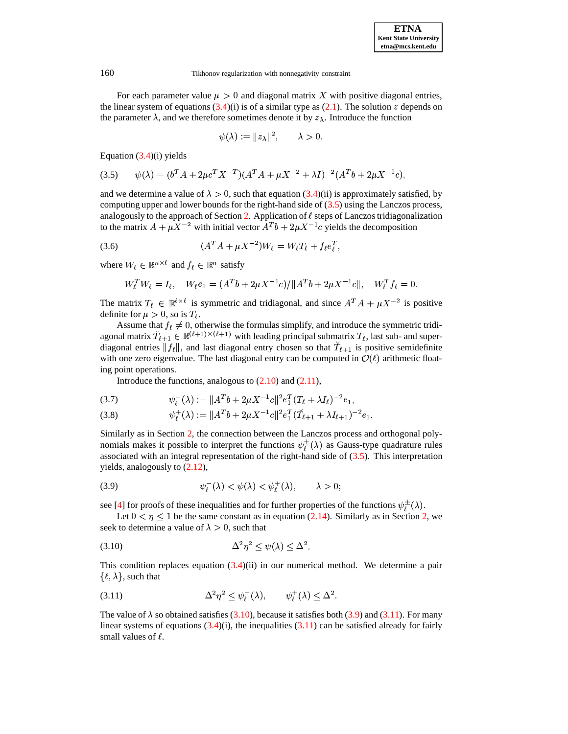For each parameter value  $\mu > 0$  and diagonal matrix X with positive diagonal entries, the linear system of equations  $(3.4)(i)$  $(3.4)(i)$  is of a similar type as  $(2.1)$ . The solution z depends on the parameter  $\lambda$ , and we therefore sometimes denote it by  $z_{\lambda}$ . Introduce the function

$$
\psi(\lambda) := \|z_{\lambda}\|^2, \qquad \lambda > 0
$$

<span id="page-7-0"></span>Equation  $(3.4)(i)$  $(3.4)(i)$  yields

$$
(3.5) \qquad \psi(\lambda) = (b^T A + 2\mu c^T X^{-T})(A^T A + \mu X^{-2} + \lambda I)^{-2} (A^T b + 2\mu X^{-1} c),
$$

and we determine a value of  $\lambda > 0$ , such that equation [\(3.4\)](#page-6-2)(ii) is approximately satisfied, by computing upper and lower bounds for the right-hand side of  $(3.5)$  using the Lanczos process, analogously to the approach of Section [2.](#page-2-1) Application of  $\ell$  steps of Lanczos tridiagonalization to the matrix  $A + \mu X^{-2}$  with initial vector  $A^T b + 2\mu X^{-1}c$  yields the decomposition

<span id="page-7-4"></span>(3.6) 
$$
(A^T A + \mu X^{-2})W_{\ell} = W_{\ell}T_{\ell} + f_{\ell}e_{\ell}^T,
$$

where  $W_{\ell} \in \mathbb{R}^{n \times \ell}$  and  $f_{\ell} \in \mathbb{R}^{n}$  satisfy

$$
W_{\ell}^T W_{\ell} = I_{\ell}, \quad W_{\ell} e_1 = (A^T b + 2\mu X^{-1} c) / ||A^T b + 2\mu X^{-1} c||, \quad W_{\ell}^T f_{\ell} = 0.
$$

The matrix  $T_{\ell} \in \mathbb{R}^{\ell \times \ell}$  is symmetric and tridiagonal, and since  $A^T A + \mu X^{-2}$  is positive definite for  $\mu > 0$ , so is  $T_{\ell}$ .

Assume that  $f_{\ell} \neq 0$ , otherwise the formulas simplify, and introduce the symmetric tridiagonal matrix  $\tilde{T}_{\ell+1} \in \mathbb{R}^{(\ell+1)\times(\ell+1)}$  with leading principal submatrix  $T_{\ell}$ , last sub- and superdiagonal entries  $||f_{\ell}||$ , and last diagonal entry chosen so that  $T_{\ell+1}$  is positive semidefinite with one zero eigenvalue. The last diagonal entry can be computed in  $\mathcal{O}(\ell)$  arithmetic floating point operations.

Introduce the functions, analogous to  $(2.10)$  and  $(2.11)$ ,

$$
(3.7) \t\t \psi_{\ell}^{-}(\lambda) := \|A^{T}b + 2\mu X^{-1}c\|^{2} e_{1}^{T} (T_{\ell} + \lambda I_{\ell})^{-2} e_{1},
$$

$$
(3.8) \t\t \psi_{\ell}^{+}(\lambda) := \|A^{T}b + 2\mu X^{-1}c\|^{2} e_{1}^{T} (\check{T}_{\ell+1} + \lambda I_{\ell+1})^{-2} e_{1}.
$$

Similarly as in Section [2,](#page-2-1) the connection between the Lanczos process and orthogonal polynomials makes it possible to interpret the functions  $\psi^{\pm}(\lambda)$  as Gauss-type quadrature rules associated with an integral representation of the right-hand side of  $(3.5)$ . This interpretation yields, analogously to [\(2.12\)](#page-4-3),

<span id="page-7-2"></span>
$$
(3.9) \t\t\t \psi_{\ell}^{-}(\lambda) < \psi(\lambda) < \psi_{\ell}^{+}(\lambda), \t\t \lambda > 0
$$

see [\[4\]](#page-19-8) for proofs of these inequalities and for further properties of the functions  $\psi^{\pm}(\lambda)$ .

Let  $0 < \eta \leq 1$  be the same constant as in equation [\(2.14\)](#page-4-2). Similarly as in Section [2,](#page-2-1) we seek to determine a value of  $\lambda > 0$ , such that

<span id="page-7-1"></span>
$$
\Delta^2 \eta^2 \le \psi(\lambda) \le \Delta^2.
$$

This condition replaces equation  $(3.4)(ii)$  $(3.4)(ii)$  in our numerical method. We determine a pair  $\{\ell, \lambda\}$ , such that

<span id="page-7-3"></span>
$$
(3.11) \qquad \qquad \Delta^2 \eta^2 \le \psi_{\ell}^-(\lambda), \qquad \psi_{\ell}^+(\lambda) \le \Delta^2.
$$

The value of  $\lambda$  so obtained satisfies [\(3.10\)](#page-7-1), because it satisfies both [\(3.9\)](#page-7-2) and [\(3.11\)](#page-7-3). For many linear systems of equations  $(3.4)(i)$  $(3.4)(i)$ , the inequalities  $(3.11)$  can be satisfied already for fairly small values of  $\ell$ .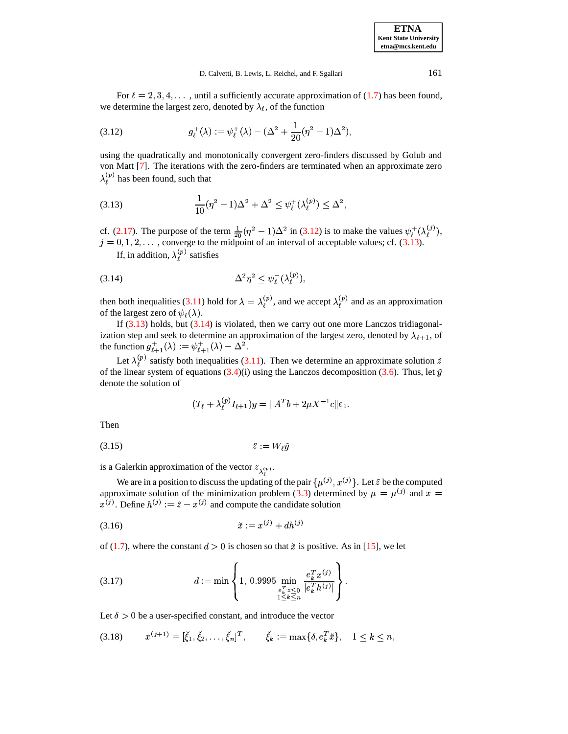For  $\ell = 2, 3, 4, \ldots$ , until a sufficiently accurate approximation of [\(1.7\)](#page-1-1) has been found, we determine the largest zero, denoted by  $\lambda_{\ell}$ , of the function

<span id="page-8-0"></span>(3.12) 
$$
g_{\ell}^{+}(\lambda) := \psi_{\ell}^{+}(\lambda) - (\Delta^{2} + \frac{1}{20}(\eta^{2} - 1)\Delta^{2}),
$$

using the quadratically and monotonically convergent zero-finders discussed by Golub and von Matt [\[7\]](#page-19-3). The iterations with the zero-finders are terminated when an approximate zero  $\lambda_{\ell}^{(p)}$  has been found, such that

<span id="page-8-1"></span>(3.13) 
$$
\frac{1}{10}(\eta^2 - 1)\Delta^2 + \Delta^2 \leq \psi_{\ell}^{+}(\lambda_{\ell}^{(p)}) \leq \Delta^2,
$$

cf. [\(2.17\)](#page-5-2). The purpose of the term  $\frac{1}{20}(\eta^2 - 1)\Delta^2$  in [\(3.12\)](#page-8-0) is to make the values  $\psi_f^+(\lambda_f^{(j)})$ ,  $j = 0, 1, 2, \ldots$ , converge to the midpoint of an interval of acceptable values; cf. [\(3.13\)](#page-8-1).

<span id="page-8-2"></span>If, in addition,  $\lambda_{\ell}^{(p)}$  satisfies

$$
\Delta^2 \eta^2 \le \psi_{\ell}^-(\lambda_{\ell}^{(p)}),
$$

then both inequalities [\(3.11\)](#page-7-3) hold for  $\lambda = \lambda_{\ell}^{(p)}$ , and we accept  $\lambda_{\ell}^{(p)}$  and as an approximation of the largest zero of  $\psi_{\ell}(\lambda)$ .

If  $(3.13)$  holds, but  $(3.14)$  is violated, then we carry out one more Lanczos tridiagonalization step and seek to determine an approximation of the largest zero, denoted by  $\lambda_{\ell+1}$ , of the function  $g_{\ell+1}^+(\lambda) := \psi_{\ell+1}^+(\lambda) - \Delta^2$ .

Let  $\lambda_{\ell}^{(p)}$  satisfy both inequalities [\(3.11\)](#page-7-3). Then we determine an approximate solution  $\tilde{z}$ of the linear system of equations  $(3.4)(i)$  $(3.4)(i)$  using the Lanczos decomposition  $(3.6)$ . Thus, let  $\tilde{y}$ denote the solution of

<span id="page-8-5"></span>
$$
(T_{\ell} + \lambda_{\ell}^{(p)}I_{\ell+1})y = \|A^Tb + 2\mu X^{-1}c\|e_1.
$$

Then

$$
(3.15) \t\t\t \tilde{z} := W_{\ell} \tilde{y}
$$

is a Galerkin approximation of the vector  $z_{\lambda^{(p)}}$ .

We are in a position to discuss the updating of the pair  $\{\mu^{(j)}, x^{(j)}\}$ . Let  $\tilde{z}$  be the computed approximate solution of the minimization problem [\(3.3\)](#page-6-1) determined by  $\mu = \mu^{(j)}$  and  $x = x^{(j)}$ . Define  $h^{(j)} := \tilde{z} - x^{(j)}$  and compute the candidate solution

<span id="page-8-3"></span>
$$
(3.16) \t\t \tilde{x} := x^{(j)} + dh^{(j)}
$$

of [\(1.7\)](#page-1-1), where the constant  $d > 0$  is chosen so that  $\tilde{x}$  is positive. As in [\[15\]](#page-20-0), we let

<span id="page-8-6"></span>(3.17) 
$$
d := \min \left\{ 1, \ 0.9995 \min_{\substack{e_k^T \tilde{z} \leq 0 \\ 1 \leq k \leq n}} \frac{e_k^T x^{(j)}}{|e_k^T h^{(j)}|} \right\}.
$$

Let  $\delta > 0$  be a user-specified constant, and introduce the vector

<span id="page-8-4"></span>
$$
(3.18) \t x^{(j+1)} = [\check{\xi}_1, \check{\xi}_2, \dots, \check{\xi}_n]^T, \t \check{\xi}_k := \max\{\delta, e_k^T \check{x}\}, \quad 1 \le k \le n,
$$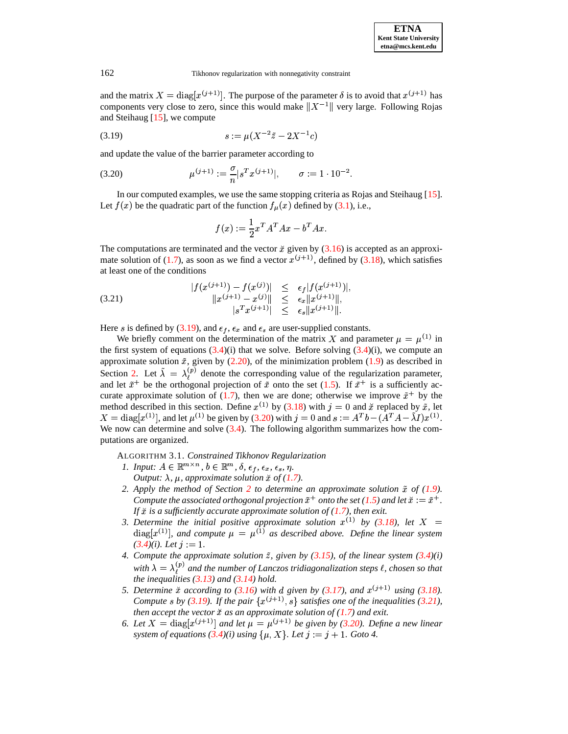and the matrix  $X = diag[x^{(j+1)}]$ . The purpose of the parameter  $\delta$  is to avoid that  $x^{(j+1)}$  has components very close to zero, since this would make  $||X^{-1}||$  very large. Following Rojas and Steihaug [\[15\]](#page-20-0), we compute

<span id="page-9-0"></span>
$$
(3.19) \t\t s := \mu(X^{-2}\tilde{z} - 2X^{-1}c)
$$

and update the value of the barrier parameter according to

<span id="page-9-1"></span>(3.20) 
$$
\mu^{(j+1)} := \frac{\sigma}{n} |s^T x^{(j+1)}|, \qquad \sigma := 1 \cdot 10^{-2}.
$$

In our computed examples, we use the same stopping criteria as Rojas and Steihaug [\[15\]](#page-20-0). Let  $f(x)$  be the quadratic part of the function  $f_{\mu}(x)$  defined by [\(3.1\)](#page-6-3), i.e.,

$$
f(x):=\frac{1}{2}x^TA^TAx-b^TAx.
$$

The computations are terminated and the vector  $\ddot{x}$  given by [\(3.16\)](#page-8-3) is accepted as an approximate solution of  $(1.7)$ , as soon as we find a vector  $x^{(j+1)}$ , defined by  $(3.18)$ , which satisfies at least one of the conditions

<span id="page-9-2"></span>(3.21) 
$$
|f(x^{(j+1)}) - f(x^{(j)})| \leq \epsilon_f |f(x^{(j+1)})|,
$$

$$
||x^{(j+1)} - x^{(j)}|| \leq \epsilon_x ||x^{(j+1)}||,
$$

$$
|s^T x^{(j+1)}| \leq \epsilon_s ||x^{(j+1)}||.
$$

Here *s* is defined by [\(3.19\)](#page-9-0), and  $\epsilon_f$ ,  $\epsilon_x$  and  $\epsilon_s$  are user-supplied constants.

We briefly comment on the determination of the matrix X and parameter  $\mu = \mu^{(1)}$  in the first system of equations  $(3.4)(i)$  $(3.4)(i)$  that we solve. Before solving  $(3.4)(i)$ , we compute an approximate solution  $\tilde{x}$ , given by [\(2.20\)](#page-5-5), of the minimization problem [\(1.9\)](#page-2-0) as described in Section [2.](#page-2-1) Let  $\hat{\lambda} = \lambda_{\ell}^{(p)}$  denote the corresponding value of the regularization parameter, and let  $\tilde{x}^+$  be the orthogonal projection of  $\tilde{x}$  onto the set [\(1.5\)](#page-1-4). If  $\tilde{x}^+$  is a sufficiently ac-curate approximate solution of [\(1.7\)](#page-1-1), then we are done; otherwise we improve  $\tilde{x}^+$  by the method described in this section. Define  $x^{(1)}$  by [\(3.18\)](#page-8-4) with  $j = 0$  and  $\check{x}$  replaced by  $\check{x}$ , let method described in this section. Define  $x^{(1)}$  by (3.18) with  $j = 0$  and  $X = \text{diag}[x^{(1)}]$ , and let  $\mu^{(1)}$  be given by [\(3.20\)](#page-9-1) with  $j = 0$  and  $s := A^{T}t$  $:=A^Tb-(A^TA-\lambda I)x^{(1)}.$ We now can determine and solve [\(3.4\)](#page-6-2). The following algorithm summarizes how the computations are organized.

<span id="page-9-3"></span>ALGORITHM 3.1. *Constrained Tikhonov Regularization*

- *1. Input:*  $A \in \mathbb{R}^{m \times n}$ ,  $b \in \mathbb{R}^m$ ,  $\delta$ ,  $\epsilon_f$ ,  $\epsilon_x$ ,  $\epsilon_s$ ,  $\eta$ . *Output:*  $\lambda$ ,  $\mu$ , approximate solution  $\check{x}$  of [\(1.7\)](#page-1-1).
- *2. Apply the method of Section [2](#page-2-1) to determine an approximate solution of [\(1.9\)](#page-2-0).* Compute the associated orthogonal projection  $\tilde{x}^+$  onto the set [\(1.5\)](#page-1-4) and let  $\tilde{x} := \tilde{x}^+$ . *If is a sufficiently accurate approximate solution of [\(1.7\)](#page-1-1), then exit.*
- 3. Determine the *initial* positive approximate solution  $x^{(1)}$  by [\(3.18\)](#page-8-4), let X =  $\text{diag}[x^{(1)}]$ , and compute  $\mu = \mu^{(1)}$  as described above. Define the linear system  $(3.4)(i)$  $(3.4)(i)$ *. Let*  $j := 1$ *.*
- 4. *Compute the approximate solution*  $\tilde{z}$ *, given by* [\(3.15\)](#page-8-5)*, of the linear system* [\(3.4\)](#page-6-2)*(i) with*  $\lambda = \lambda_{\ell}^{(p)}$  and the number of Lanczos tridiagonalization steps  $\ell$ , chosen so that *the inequalities [\(3.13\)](#page-8-1) and [\(3.14\)](#page-8-2) hold.*
- 5. Determine  $\check{x}$  according to [\(3.16\)](#page-8-3) with d given by [\(3.17\)](#page-8-6), and  $x^{(j+1)}$  using [\(3.18\)](#page-8-4). *Compute*  $\check{x}$  *according to* (3.16) with *d* given by (<br>Compute s by [\(3.19\)](#page-9-0). If the pair  $\{x^{(j+1)}, s\}$  satisfies *satisfies one of the inequalities [\(3.21\)](#page-9-2), then accept the vector as an approximate solution of [\(1.7\)](#page-1-1) and exit.*
- 6. Let  $X = \text{diag}[x^{(j+1)}]$  and let  $\mu = \mu^{(j+1)}$  be given by [\(3.20\)](#page-9-1). Define a new linear *system of equations*  $(3.4)(i)$  $(3.4)(i)$  *using*  $\{\mu, X\}$ *. Let*  $j := j + 1$ *. Goto* 4*.*

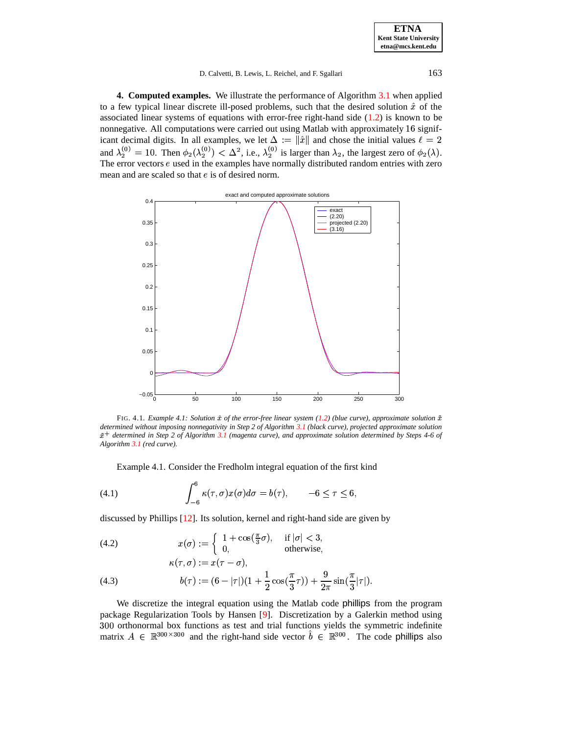**ETNA Kent State University etna@mcs.kent.edu**

### D. Calvetti, B. Lewis, L. Reichel, and F. Sgallari 163

<span id="page-10-0"></span>**4. Computed examples.** We illustrate the performance of Algorithm [3.1](#page-9-3) when applied to a few typical linear discrete ill-posed problems, such that the desired solution  $\hat{x}$  of the associated linear systems of equations with error-free right-hand side [\(1.2\)](#page-0-0) is known to be nonnegative. All computations were carried out using Matlab with approximately  $16$  significant decimal digits. In all examples, we let  $\Delta := \|\hat{x}\|$  and chose the initial values  $\ell = 2$ and  $\lambda_2^{(0)} = 10$ . Then  $\phi_2(\lambda_2^{(0)}) < \Delta^2$ , i.e.,  $\lambda_2^{(0)}$  is larger than  $\lambda_2$ , the largest zero of  $\phi_2(\lambda)$ . The error vectors  $e$  used in the examples have normally distributed random entries with zero mean and are scaled so that  $e$  is of desired norm.



<span id="page-10-1"></span>FIG. 4.1. *Example* 4.1: *Solution*  $\hat{x}$  *of the error-free linear system* [\(1.2\)](#page-0-0) (blue *curve*), approximate solution  $\tilde{x}$ *determined without imposing nonnegativity in Step 2 of Algorithm [3.1](#page-9-3) (black curve), projected approximate solution*  $\tilde{x}^+$  determined in Step 2 of Algorithm [3.1](#page-9-3) (magenta curve), and approximate solution determined by Steps 4-6 of *Algorithm [3.1](#page-9-3) (red curve).*

Example 4.1. Consider the Fredholm integral equation of the first kind

(4.1) 
$$
\int_{-6}^{6} \kappa(\tau, \sigma) x(\sigma) d\sigma = b(\tau), \qquad -6 \le \tau \le 6
$$

discussed by Phillips [\[12\]](#page-20-5). Its solution, kernel and right-hand side are given by

<span id="page-10-2"></span>(4.2) 
$$
x(\sigma) := \begin{cases} 1 + \cos(\frac{\pi}{3}\sigma), & \text{if } |\sigma| < 3, \\ 0, & \text{otherwise,} \end{cases}
$$

(4.3) 
$$
b(\tau) := (6 - |\tau|)(1 + \frac{1}{2}\cos(\frac{\pi}{3}\tau)) + \frac{9}{2\pi}\sin(\frac{\pi}{3}|\tau|).
$$

 $\ell$  and  $\ell$  and  $\ell$  and  $\ell$  and  $\ell$  and  $\ell$  and  $\ell$  and  $\ell$  and  $\ell$  and  $\ell$  and  $\ell$  and  $\ell$  and  $\ell$  and  $\ell$  and  $\ell$  and  $\ell$  and  $\ell$  and  $\ell$  and  $\ell$  and  $\ell$  and  $\ell$  and  $\ell$  and  $\ell$  and  $\ell$  and  $\ell$ 

We discretize the integral equation using the Matlab code phillips from the program package Regularization Tools by Hansen [\[9\]](#page-19-9). Discretization by a Galerkin method using 300 orthonormal box functions as test and trial functions yields the symmetric indefinite matrix  $A \in \mathbb{R}^{300 \times 300}$  and the right-hand side vector  $\hat{b} \in \mathbb{R}^{300}$ . The code phillips also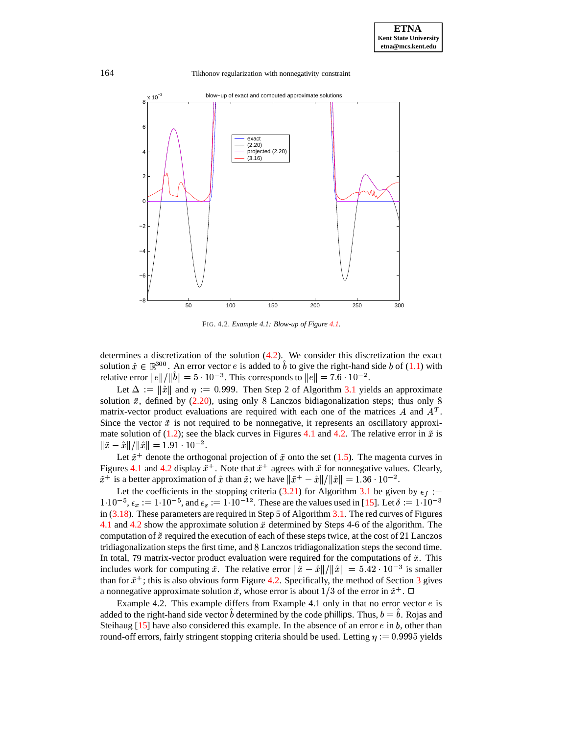

<span id="page-11-0"></span>FIG. 4.2. *Example 4.1: Blow-up of Figure [4.1.](#page-10-1)*

determines a discretization of the solution  $(4.2)$ . We consider this discretization the exact solution  $\hat{x} \in \mathbb{R}^{300}$ . An error vector e is added to b to give the right-hand side b of [\(1.1\)](#page-0-1) with relative error  $||e||/||b|| = 5 \cdot 10^{-3}$ . This corresponds to  $||e|| = 7.6 \cdot 10^{-2}$ .

Let  $\Delta := ||\hat{x}||$  and  $\eta := 0.999$ . Then Step 2 of Algorithm [3.1](#page-9-3) yields an approximate solution  $\tilde{x}$ , defined by [\(2.20\)](#page-5-5), using only 8 Lanczos bidiagonalization steps; thus only matrix-vector product evaluations are required with each one of the matrices A and  $A<sup>T</sup>$ . Since the vector  $\tilde{x}$  is not required to be nonnegative, it represents an oscillatory approxi-mate solution of [\(1.2\)](#page-0-0); see the black curves in Figures [4.1](#page-10-1) and [4.2.](#page-11-0) The relative error in  $\tilde{x}$  is  $\|\tilde{x} - \hat{x}\| / \|\hat{x}\| = 1.91 \cdot 10^{-2}.$ 

Let  $\tilde{x}^+$  denote the orthogonal projection of  $\tilde{x}$  onto the set [\(1.5\)](#page-1-4). The magenta curves in Figures [4.1](#page-10-1) and [4.2](#page-11-0) display  $\tilde{x}^+$ . Note that  $\tilde{x}^+$  agrees with  $\tilde{x}$  for nonnegative values. Clearly,  $\tilde{x}^+$  is a better approximation of  $\hat{x}$  than  $\tilde{x}$ ; we have  $\|\tilde{x}^+ - \hat{x}\|/\|\hat{x}\| = 1.36 \cdot 10^{-2}$ .

Let the coefficients in the stopping criteria [\(3.21\)](#page-9-2) for Algorithm [3.1](#page-9-3) be given by  $\epsilon_f :=$  $1 \cdot 10^{-5}$ ,  $\epsilon_x := 1 \cdot 10^{-5}$ , and  $\epsilon_s := 1 \cdot 10^{-12}$ . These are the values used in [\[15\]](#page-20-0). Let  $\delta := 1 \cdot 10^{-3}$ in  $(3.18)$ . These parameters are required in Step 5 of Algorithm [3.1.](#page-9-3) The red curves of Figures [4.1](#page-10-1) and [4.2](#page-11-0) show the approximate solution  $\ddot{x}$  determined by Steps 4-6 of the algorithm. The computation of  $\check{x}$  required the execution of each of these steps twice, at the cost of 21 Lanczos tridiagonalization steps the first time, and 8 Lanczos tridiagonalization steps the second time. In total, 79 matrix-vector product evaluation were required for the computations of  $\check{x}$ . This includes work for computing  $\tilde{x}$ . The relative error  $\|\tilde{x} - \hat{x}\| / \|\hat{x}\| = 5.42 \cdot 10^{-3}$  is smaller than for  $\tilde{x}^+$ ; this is also obvious form Figure [4.2.](#page-11-0) Specifically, the method of Section [3](#page-5-0) gives a nonnegative approximate solution  $\tilde{x}$ , whose error is about  $1/3$  of the error in  $\tilde{x}^+$ .  $\Box$ 

Example 4.2. This example differs from Example 4.1 only in that no error vector  $e$  is added to the right-hand side vector  $\hat{b}$  determined by the code phillips. Thus,  $b = \hat{b}$ . Rojas and Steihaug [\[15\]](#page-20-0) have also considered this example. In the absence of an error  $e$  in  $b$ , other than round-off errors, fairly stringent stopping criteria should be used. Letting  $\eta := 0.9995$  yields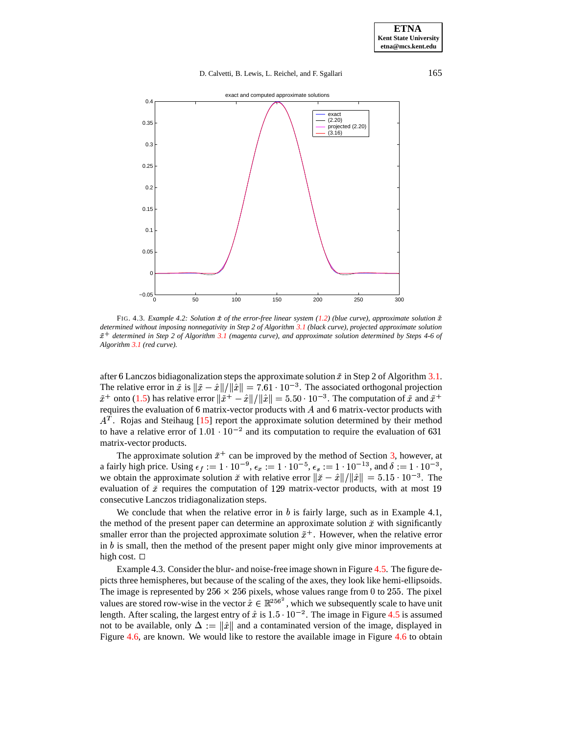

<span id="page-12-0"></span>FIG. 4.3. *Example* 4.2: *Solution*  $\hat{x}$  *of the error-free linear system* [\(1.2\)](#page-0-0) (blue *curve*), *approximate solution*  $\tilde{x}$ *determined without imposing nonnegativity in Step 2 of Algorithm [3.1](#page-9-3) (black curve), projected approximate solution*  $\tilde{x}^+$  determined in Step 2 of Algorithm [3.1](#page-9-3) (magenta curve), and approximate solution determined by Steps 4-6 of *Algorithm [3.1](#page-9-3) (red curve).*

after 6 Lanczos bidiagonalization steps the approximate solution  $\tilde{x}$  in Step 2 of Algorithm [3.1.](#page-9-3) The relative error in  $\tilde{x}$  is  $\|\tilde{x} - \hat{x}\|/\|\hat{x}\| = 7.61 \cdot 10^{-3}$ . The associated orthogonal projection  $\tilde{x}^+$  onto [\(1.5\)](#page-1-4) has relative error  $\|\tilde{x}^+ - \hat{x}\|/\|\hat{x}\| = 5.50 \cdot 10^{-3}$ . The computation of  $\tilde{x}$  and  $\tilde{x}^+$ requires the evaluation of 6 matrix-vector products with  $A$  and 6 matrix-vector products with  $A<sup>T</sup>$ . Rojas and Steihaug [\[15\]](#page-20-0) report the approximate solution determined by their method to have a relative error of  $1.01 \cdot 10^{-2}$  and its computation to require the evaluation of 631 matrix-vector products.

The approximate solution  $\tilde{x}^+$  can be improved by the method of Section [3,](#page-5-0) however, at a fairly high price. Using  $\epsilon_f := 1 \cdot 10^{-9}$ ,  $\epsilon_x := 1 \cdot 10^{-5}$ ,  $\epsilon_s := 1 \cdot 10^{-13}$ , and  $\delta := 1 \cdot 10^{-3}$ , we obtain the approximate solution  $\ddot{x}$  with relative error  $\|\ddot{x} - \hat{x}\|/\|\hat{x}\| = 5.15 \cdot 10^{-3}$ . The evaluation of  $\tilde{x}$  requires the computation of 129 matrix-vector products, with at most 19 consecutive Lanczos tridiagonalization steps.

We conclude that when the relative error in  $b$  is fairly large, such as in Example 4.1, the method of the present paper can determine an approximate solution  $\ddot{x}$  with significantly smaller error than the projected approximate solution  $\tilde{x}^+$ . However, when the relative error in  $b$  is small, then the method of the present paper might only give minor improvements at high cost.  $\Box$ 

Example 4.3. Consider the blur- and noise-free image shown in Figure [4.5.](#page-13-0) The figure depicts three hemispheres, but because of the scaling of the axes, they look like hemi-ellipsoids. The image is represented by  $256 \times 256$  pixels, whose values range from 0 to 255. The pixel values are stored row-wise in the vector  $\hat{x} \in \mathbb{R}^{256^2}$ , which we subsequently scale to have unit length. After scaling, the largest entry of  $\hat{x}$  is  $1.5 \cdot 10^{-2}$ . The image in Figure [4.5](#page-13-0) is assumed not to be available, only  $\Delta := \|\hat{x}\|$  and a contaminated version of the image, displayed in Figure [4.6,](#page-14-0) are known. We would like to restore the available image in Figure [4.6](#page-14-0) to obtain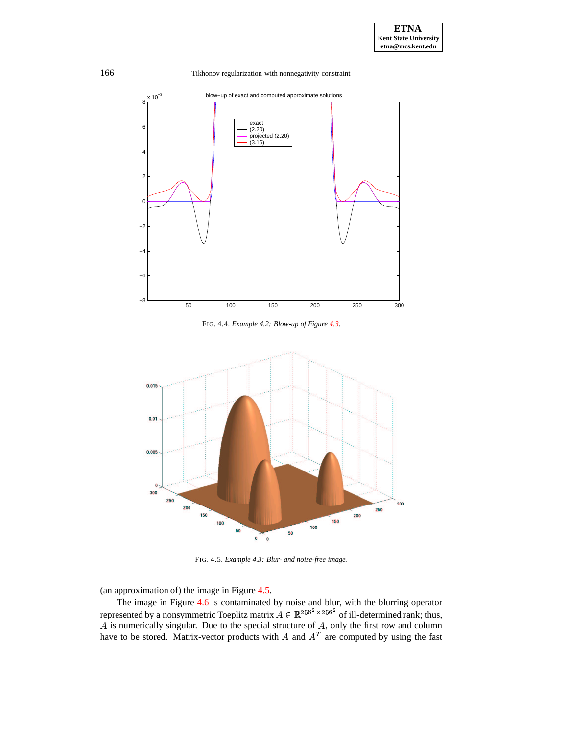

FIG. 4.4. *Example 4.2: Blow-up of Figure [4.3.](#page-12-0)*



<span id="page-13-0"></span>FIG. 4.5. *Example 4.3: Blur- and noise-free image.*

(an approximation of) the image in Figure [4.5.](#page-13-0)

The image in Figure [4.6](#page-14-0) is contaminated by noise and blur, with the blurring operator represented by a nonsymmetric Toeplitz matrix  $A \in \mathbb{R}^{256^2 \times 256^2}$  of ill-determined rank; thus,  $\hat{A}$  is numerically singular. Due to the special structure of  $\hat{A}$ , only the first row and column have to be stored. Matrix-vector products with A and  $A<sup>T</sup>$  are computed by using the fast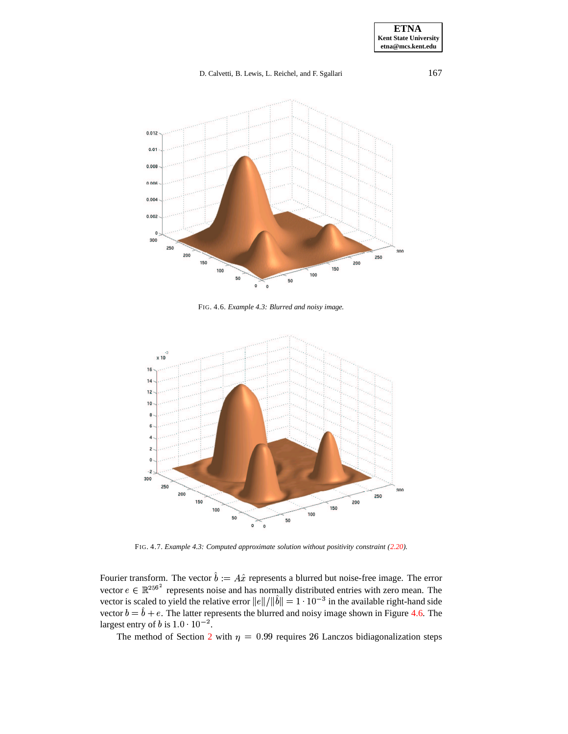

<span id="page-14-0"></span>FIG. 4.6. *Example 4.3: Blurred and noisy image.*



FIG. 4.7. *Example 4.3: Computed approximate solution without positivity constraint [\(2.20\)](#page-5-5).*

<span id="page-14-1"></span>Fourier transform. The vector  $b := A\hat{x}$  represents a blurred but noise-free image. The error vector  $e \in \mathbb{R}^{256^2}$  represents noise and has normally distributed entries with zero mean. The vector is scaled to yield the relative error  $||e||/||b|| = 1 \cdot 10^{-3}$  in the available right-hand side vector  $b = b + e$ . The latter represents the blurred and noisy image shown in Figure [4.6.](#page-14-0) The largest entry of b is  $1.0 \cdot 10^{-2}$ .

The method of Section [2](#page-2-1) with  $\eta = 0.99$  requires 26 Lanczos bidiagonalization steps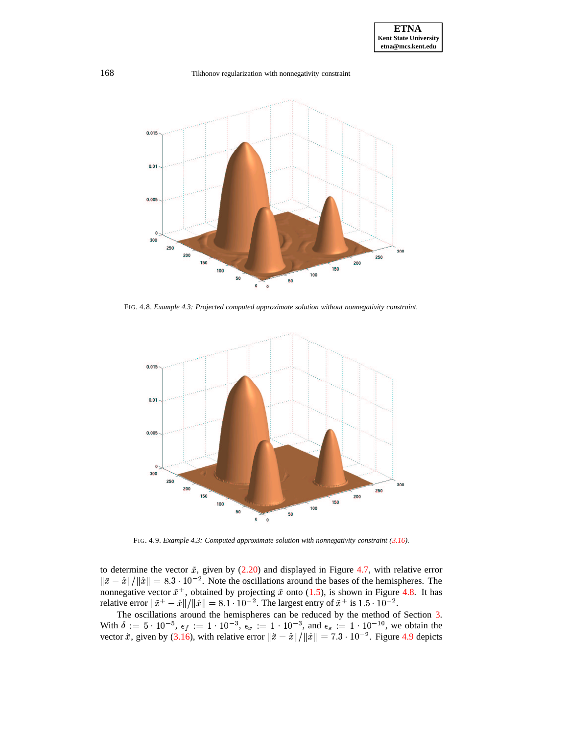

<span id="page-15-0"></span>FIG. 4.8. *Example 4.3: Projected computed approximate solution without nonnegativity constraint.*



FIG. 4.9. *Example 4.3: Computed approximate solution with nonnegativity constraint [\(3.16\)](#page-8-3).*

<span id="page-15-1"></span>to determine the vector  $\tilde{x}$ , given by [\(2.20\)](#page-5-5) and displayed in Figure [4.7,](#page-14-1) with relative error  $\|\tilde{x} - \hat{x}\| / \|\hat{x}\| = 8.3 \cdot 10^{-2}$ . Note the oscillations around the bases of the hemispheres. The nonnegative vector  $\tilde{x}^+$ , obtained by projecting  $\tilde{x}$  onto [\(1.5\)](#page-1-4), is shown in Figure [4.8.](#page-15-0) It has relative error  $\|\tilde{x}^+ - \hat{x}\|/\|\hat{x}\| = 8.1 \cdot 10^{-2}$ . The largest entry of  $\tilde{x}^+$  is  $1.5 \cdot 10^{-2}$ .

The oscillations around the hemispheres can be reduced by the method of Section [3.](#page-5-0) With  $\delta := 5 \cdot 10^{-5}$ ,  $\epsilon_f := 1 \cdot 10^{-3}$ ,  $\epsilon_x := 1 \cdot 10^{-3}$ , and  $\epsilon_s := 1 \cdot 10^{-10}$ , we obtain the vector  $\ddot{x}$ , given by [\(3.16\)](#page-8-3), with relative error  $\|\ddot{x} - \hat{x}\| / \|\hat{x}\| = 7.3 \cdot 10^{-2}$ . Figure [4.9](#page-15-1) depicts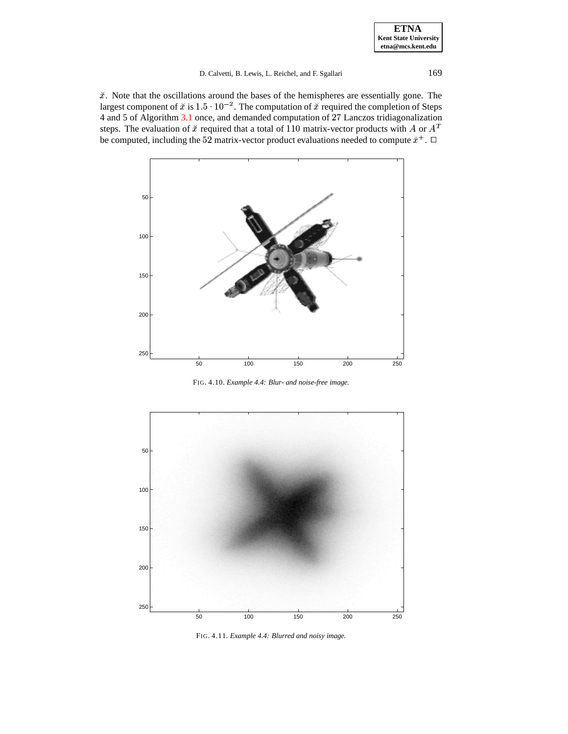$\check{x}$ . Note that the oscillations around the bases of the hemispheres are essentially gone. The largest component of  $\check{x}$  is  $1.5 \cdot 10^{-2}$ . The computation of  $\check{x}$  required the completion of Steps 4 and 5 of Algorithm [3.1](#page-9-3) once, and demanded computation of Lanczos tridiagonalization steps. The evaluation of  $\check{x}$  required that a total of 110 matrix-vector products with A or  $A<sup>T</sup>$ be computed, including the 52 matrix-vector product evaluations needed to compute  $\tilde{x}^+$ .  $\Box$ 



<span id="page-16-0"></span>FIG. 4.10. *Example 4.4: Blur- and noise-free image.*



<span id="page-16-1"></span>FIG. 4.11. *Example 4.4: Blurred and noisy image.*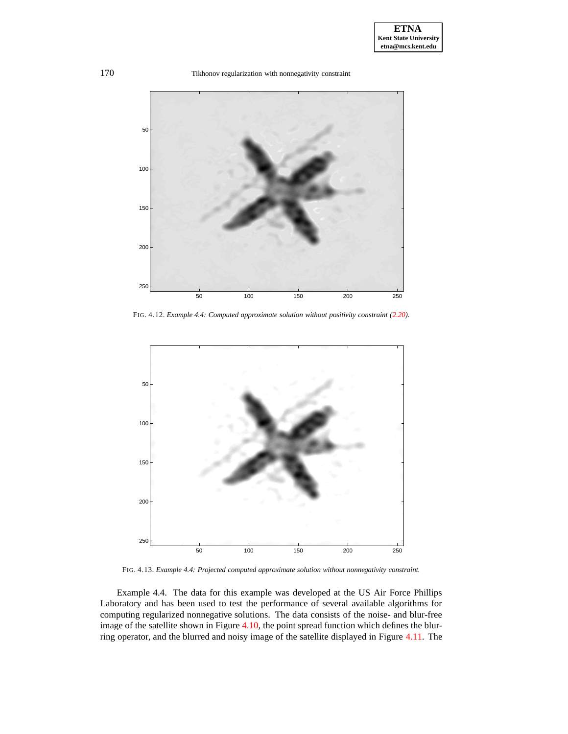

FIG. 4.12. *Example 4.4: Computed approximate solution without positivity constraint [\(2.20\)](#page-5-5).*

<span id="page-17-0"></span>

FIG. 4.13. *Example 4.4: Projected computed approximate solution without nonnegativity constraint.*

<span id="page-17-1"></span>Example 4.4. The data for this example was developed at the US Air Force Phillips Laboratory and has been used to test the performance of several available algorithms for computing regularized nonnegative solutions. The data consists of the noise- and blur-free image of the satellite shown in Figure [4.10,](#page-16-0) the point spread function which defines the blurring operator, and the blurred and noisy image of the satellite displayed in Figure [4.11.](#page-16-1) The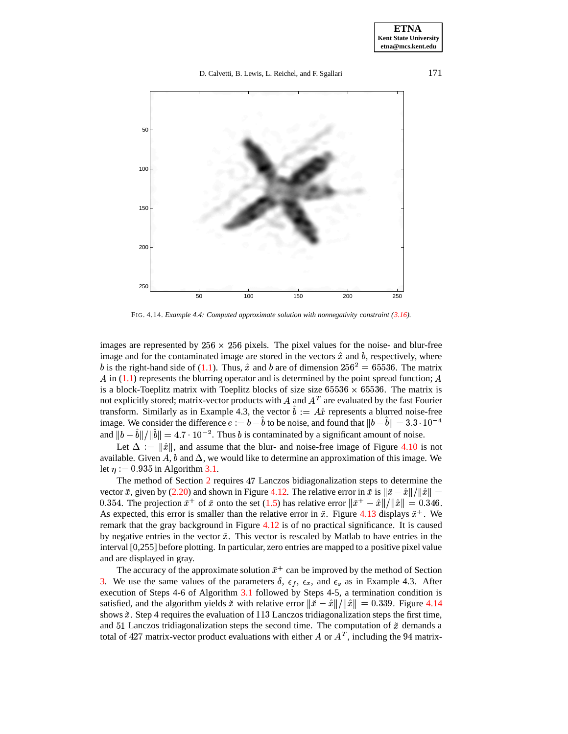

FIG. 4.14. *Example 4.4: Computed approximate solution with nonnegativity constraint [\(3.16\)](#page-8-3).*

<span id="page-18-0"></span>images are represented by  $256 \times 256$  pixels. The pixel values for the noise- and blur-free image and for the contaminated image are stored in the vectors  $\hat{x}$  and  $b$ , respectively, where b is the right-hand side of [\(1.1\)](#page-0-1). Thus,  $\hat{x}$  and b are of dimension  $256^2 = 65536$ . The matrix A in  $(1.1)$  represents the blurring operator and is determined by the point spread function; A is a block-Toeplitz matrix with Toeplitz blocks of size size  $65536 \times 65536$ . The matrix is not explicitly stored; matrix-vector products with A and  $A<sup>T</sup>$  are evaluated by the fast Fourier transform. Similarly as in Example 4.3, the vector  $b := A\hat{x}$  represents a blurred noise-free image. We consider the difference  $e := b - b$  to be noise, and found that  $||b - b|| = 3.3 \cdot 10^{-4}$ and  $||b - b||/||b|| = 4.7 \cdot 10^{-2}$ . Thus b is contaminated by a significant amount of noise.

Let  $\Delta := ||\hat{x}||$ , and assume that the blur- and noise-free image of Figure [4.10](#page-16-0) is not available. Given A, b and  $\Delta$ , we would like to determine an approximation of this image. We let  $\eta := 0.935$  in Algorithm [3.1.](#page-9-3)

The method of Section [2](#page-2-1) requires Lanczos bidiagonalization steps to determine the vector  $\tilde{x}$ , given by [\(2.20\)](#page-5-5) and shown in Figure [4.12.](#page-17-0) The relative error in  $\tilde{x}$  is  $\|\tilde{x} - \hat{x}\|/\|\hat{x}\| =$ 0.354. The projection  $\tilde{x}^+$  of  $\tilde{x}$  onto the set [\(1.5\)](#page-1-4) has relative error  $\|\tilde{x}^+ - \hat{x}\|/\|\hat{x}\| = 0.346$ . As expected, this error is smaller than the relative error in  $\tilde{x}$ . Figure [4.13](#page-17-1) displays  $\tilde{x}^+$ . We remark that the gray background in Figure [4.12](#page-17-0) is of no practical significance. It is caused by negative entries in the vector  $\tilde{x}$ . This vector is rescaled by Matlab to have entries in the interval [0,255] before plotting. In particular, zero entries are mapped to a positive pixel value and are displayed in gray.

The accuracy of the approximate solution  $\tilde{x}^+$  can be improved by the method of Section [3.](#page-5-0) We use the same values of the parameters  $\delta$ ,  $\epsilon_f$ ,  $\epsilon_x$ , and  $\epsilon_s$  as in Example 4.3. After execution of Steps 4-6 of Algorithm [3.1](#page-9-3) followed by Steps 4-5, a termination condition is satisfied, and the algorithm yields  $\check{x}$  with relative error  $\|\check{x} - \hat{x}\| / \|\hat{x}\| = 0.339$ . Figure [4.14](#page-18-0) shows  $\tilde{x}$ . Step 4 requires the evaluation of 113 Lanczos tridiagonalization steps the first time, and 51 Lanczos tridiagonalization steps the second time. The computation of  $\check{x}$  demands a total of 427 matrix-vector product evaluations with either A or  $A<sup>T</sup>$ , including the 94 matrix-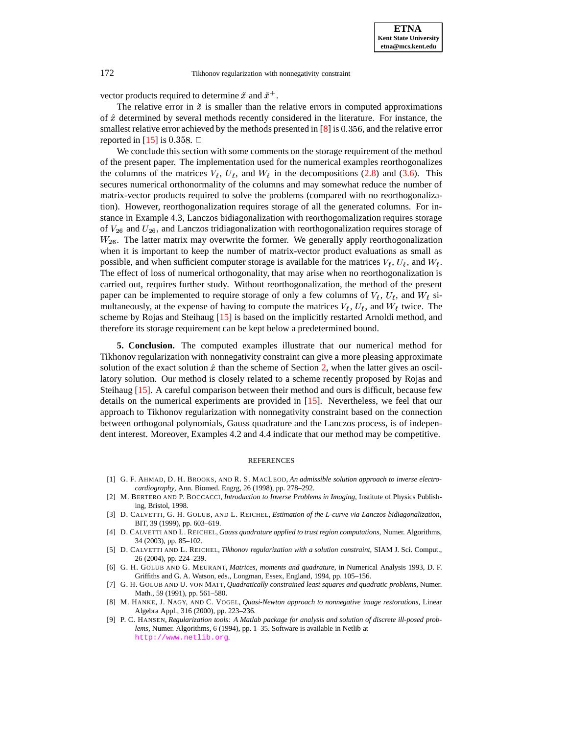vector products required to determine  $\tilde{x}$  and  $\tilde{x}^+$ .

The relative error in  $\check{x}$  is smaller than the relative errors in computed approximations of  $\hat{x}$  determined by several methods recently considered in the literature. For instance, the smallest relative error achieved by the methods presented in  $[8]$  is 0.356, and the relative error reported in  $[15]$  is 0.358.  $\Box$ 

We conclude this section with some comments on the storage requirement of the method of the present paper. The implementation used for the numerical examples reorthogonalizes the columns of the matrices  $V_{\ell}$ ,  $U_{\ell}$ , and  $W_{\ell}$  in the decompositions [\(2.8\)](#page-3-1) and [\(3.6\)](#page-7-4). This secures numerical orthonormality of the columns and may somewhat reduce the number of matrix-vector products required to solve the problems (compared with no reorthogonalization). However, reorthogonalization requires storage of all the generated columns. For instance in Example 4.3, Lanczos bidiagonalization with reorthogomalization requires storage of  $V_{26}$  and  $U_{26}$ , and Lanczos tridiagonalization with reorthogonalization requires storage of  $W_{26}$ . The latter matrix may overwrite the former. We generally apply reorthogonalization when it is important to keep the number of matrix-vector product evaluations as small as possible, and when sufficient computer storage is available for the matrices  $V_{\ell}$ ,  $U_{\ell}$ , and  $W_{\ell}$ . The effect of loss of numerical orthogonality, that may arise when no reorthogonalization is carried out, requires further study. Without reorthogonalization, the method of the present paper can be implemented to require storage of only a few columns of  $V_{\ell}$ ,  $U_{\ell}$ , and  $W_{\ell}$  simultaneously, at the expense of having to compute the matrices  $V_{\ell}$ ,  $U_{\ell}$ , and  $W_{\ell}$  twice. The scheme by Rojas and Steihaug [\[15\]](#page-20-0) is based on the implicitly restarted Arnoldi method, and therefore its storage requirement can be kept below a predetermined bound.

<span id="page-19-4"></span>**5. Conclusion.** The computed examples illustrate that our numerical method for Tikhonov regularization with nonnegativity constraint can give a more pleasing approximate solution of the exact solution  $\hat{x}$  than the scheme of Section [2,](#page-2-1) when the latter gives an oscillatory solution. Our method is closely related to a scheme recently proposed by Rojas and Steihaug [\[15\]](#page-20-0). A careful comparison between their method and ours is difficult, because few details on the numerical experiments are provided in [\[15\]](#page-20-0). Nevertheless, we feel that our approach to Tikhonov regularization with nonnegativity constraint based on the connection between orthogonal polynomials, Gauss quadrature and the Lanczos process, is of independent interest. Moreover, Examples 4.2 and 4.4 indicate that our method may be competitive.

### REFERENCES

- <span id="page-19-0"></span>[1] G. F. AHMAD, D. H. BROOKS, AND R. S. MACLEOD, *An admissible solution approach to inverse electrocardiography*, Ann. Biomed. Engrg, 26 (1998), pp. 278–292.
- <span id="page-19-5"></span>[2] M. BERTERO AND P. BOCCACCI, *Introduction to Inverse Problems in Imaging*, Institute of Physics Publishing, Bristol, 1998.
- <span id="page-19-8"></span><span id="page-19-7"></span>[3] D. CALVETTI, G. H. GOLUB, AND L. REICHEL, *Estimation of the L-curve via Lanczos bidiagonalization*, BIT, 39 (1999), pp. 603–619.
- [4] D. CALVETTI AND L. REICHEL, *Gauss quadrature applied to trust region computations*, Numer. Algorithms, 34 (2003), pp. 85–102.
- <span id="page-19-2"></span>[5] D. CALVETTI AND L. REICHEL, *Tikhonov regularization with a solution constraint*, SIAM J. Sci. Comput., 26 (2004), pp. 224–239.
- <span id="page-19-1"></span>[6] G. H. GOLUB AND G. MEURANT, *Matrices, moments and quadrature*, in Numerical Analysis 1993, D. F. Griffiths and G. A. Watson, eds., Longman, Essex, England, 1994, pp. 105–156.
- <span id="page-19-3"></span>[7] G. H. GOLUB AND U. VON MATT, *Quadratically constrained least squares and quadratic problems*, Numer. Math., 59 (1991), pp. 561–580.
- <span id="page-19-6"></span>[8] M. HANKE, J. NAGY, AND C. VOGEL, *Quasi-Newton approach to nonnegative image restorations*, Linear Algebra Appl., 316 (2000), pp. 223–236.
- <span id="page-19-9"></span>[9] P. C. HANSEN, *Regularization tools: A Matlab package for analysis and solution of discrete ill-posed problems*, Numer. Algorithms, 6 (1994), pp. 1–35. Software is available in Netlib at <http://www.netlib.org>.